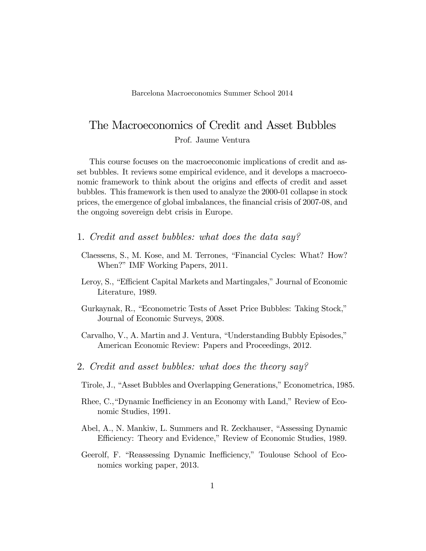## The Macroeconomics of Credit and Asset Bubbles

Prof. Jaume Ventura

This course focuses on the macroeconomic implications of credit and asset bubbles. It reviews some empirical evidence, and it develops a macroeconomic framework to think about the origins and effects of credit and asset bubbles. This framework is then used to analyze the 2000-01 collapse in stock prices, the emergence of global imbalances, the Önancial crisis of 2007-08, and the ongoing sovereign debt crisis in Europe.

- 1. Credit and asset bubbles: what does the data say?
- Claessens, S., M. Kose, and M. Terrones, "Financial Cycles: What? How? When?" IMF Working Papers, 2011.
- Leroy, S., "Efficient Capital Markets and Martingales," Journal of Economic Literature, 1989.
- Gurkaynak, R., "Econometric Tests of Asset Price Bubbles: Taking Stock," Journal of Economic Surveys, 2008.
- Carvalho, V., A. Martin and J. Ventura, "Understanding Bubbly Episodes," American Economic Review: Papers and Proceedings, 2012.
- 2. Credit and asset bubbles: what does the theory say?
- Tirole, J., "Asset Bubbles and Overlapping Generations," Econometrica, 1985.
- Rhee, C., "Dynamic Inefficiency in an Economy with Land," Review of Economic Studies, 1991.
- Abel, A., N. Mankiw, L. Summers and R. Zeckhauser, "Assessing Dynamic Efficiency: Theory and Evidence," Review of Economic Studies, 1989.
- Geerolf, F. "Reassessing Dynamic Inefficiency," Toulouse School of Economics working paper, 2013.